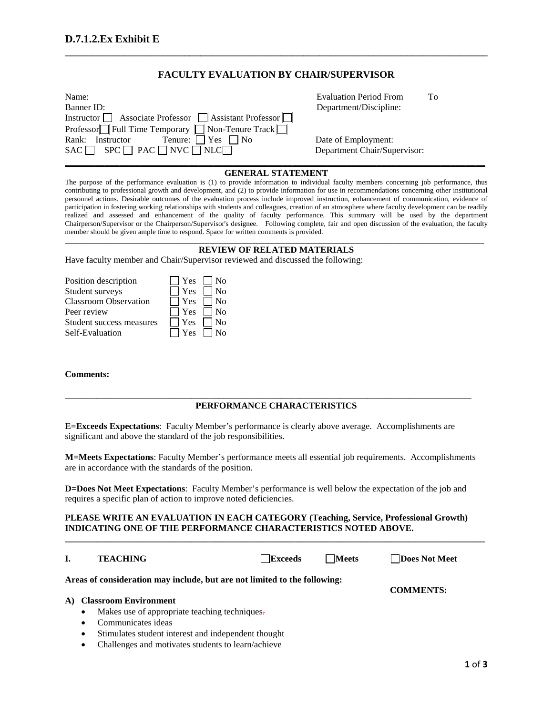## **FACULTY EVALUATION BY CHAIR/SUPERVISOR**

**\_\_\_\_\_\_\_\_\_\_\_\_\_\_\_\_\_\_\_\_\_\_\_\_\_\_\_\_\_\_\_\_\_\_\_\_\_\_\_\_\_\_\_\_\_\_\_\_\_\_\_\_\_\_\_\_\_\_\_\_\_\_\_\_\_\_\_\_\_\_\_\_\_\_\_\_\_\_**

| Name:                                                  | <b>Evaluation Period From</b> | To |
|--------------------------------------------------------|-------------------------------|----|
| Banner ID:                                             | Department/Discipline:        |    |
| Instructor △ Associate Professor △ Assistant Professor |                               |    |
| Professor□ Full Time Temporary □ Non-Tenure Track □    |                               |    |
| Tenure: $\Box$ Yes $\Box$ No<br>Rank: Instructor       | Date of Employment:           |    |
| $SAC \Box$ $SPC \Box PAC \Box NVC \Box NLC \Box$       | Department Chair/Supervisor:  |    |
|                                                        |                               |    |

Evaluation Period From To Department/Discipline:

### **GENERAL STATEMENT**

The purpose of the performance evaluation is (1) to provide information to individual faculty members concerning job performance, thus contributing to professional growth and development, and (2) to provide information for use in recommendations concerning other institutional personnel actions. Desirable outcomes of the evaluation process include improved instruction, enhancement of communication, evidence of participation in fostering working relationships with students and colleagues, creation of an atmosphere where faculty development can be readily realized and assessed and enhancement of the quality of faculty performance. This summary will be used by the department Chairperson/Supervisor or the Chairperson/Supervisor's designee. Following complete, fair and open discussion of the evaluation, the faculty member should be given ample time to respond. Space for written comments is provided.

#### \_\_\_\_\_\_\_\_\_\_\_\_\_\_\_\_\_\_\_\_\_\_\_\_\_\_\_\_\_\_\_\_\_\_\_\_\_\_\_\_\_\_\_\_\_\_\_\_\_\_\_\_\_\_\_\_\_\_\_\_\_\_\_\_\_\_\_\_\_\_\_\_\_\_\_\_\_\_\_\_\_\_\_\_\_\_\_\_\_\_\_\_\_\_\_\_\_\_\_\_\_\_\_\_\_\_\_\_\_\_\_\_\_\_\_\_ **REVIEW OF RELATED MATERIALS**

Have faculty member and Chair/Supervisor reviewed and discussed the following:

| Position description         | $\Box$ Yes $\Box$ No                 |
|------------------------------|--------------------------------------|
| Student surveys              | $\Box$ Yes $\Box$ No                 |
| <b>Classroom Observation</b> | $\Box$ Yes $\Box$ No                 |
| Peer review                  | $\Box$ Yes $\Box$ No                 |
| Student success measures     | $\blacksquare$ Yes $\blacksquare$ No |
| Self-Evaluation              | $\Box$ Yes $\Box$ No                 |

#### **Comments:**

## **PERFORMANCE CHARACTERISTICS**

\_\_\_\_\_\_\_\_\_\_\_\_\_\_\_\_\_\_\_\_\_\_\_\_\_\_\_\_\_\_\_\_\_\_\_\_\_\_\_\_\_\_\_\_\_\_\_\_\_\_\_\_\_\_\_\_\_\_\_\_\_\_\_\_\_\_\_\_\_\_\_\_\_\_\_\_\_\_\_\_\_\_\_\_\_\_\_\_\_\_

**E=Exceeds Expectations**: Faculty Member's performance is clearly above average. Accomplishments are significant and above the standard of the job responsibilities.

**M=Meets Expectations**: Faculty Member's performance meets all essential job requirements. Accomplishments are in accordance with the standards of the position.

**D=Does Not Meet Expectations**: Faculty Member's performance is well below the expectation of the job and requires a specific plan of action to improve noted deficiencies.

### **PLEASE WRITE AN EVALUATION IN EACH CATEGORY (Teaching, Service, Professional Growth) INDICATING ONE OF THE PERFORMANCE CHARACTERISTICS NOTED ABOVE.**

**\_\_\_\_\_\_\_\_\_\_\_\_\_\_\_\_\_\_\_\_\_\_\_\_\_\_\_\_\_\_\_\_\_\_\_\_\_\_\_\_\_\_\_\_\_\_\_\_\_\_\_\_\_\_\_\_\_\_\_\_\_\_\_\_\_\_\_\_\_\_\_\_\_\_\_\_\_\_\_\_\_\_\_\_\_\_\_\_\_\_\_\_\_**

#### **I. TEACHING Exceeds Exceeds Exceeds Exceeds Exceeds Exceeds EXCELL**

**Areas of consideration may include, but are not limited to the following:**

**COMMENTS:**

#### **A) Classroom Environment**

- Makes use of appropriate teaching techniques.
- Communicates ideas
- Stimulates student interest and independent thought
- Challenges and motivates students to learn/achieve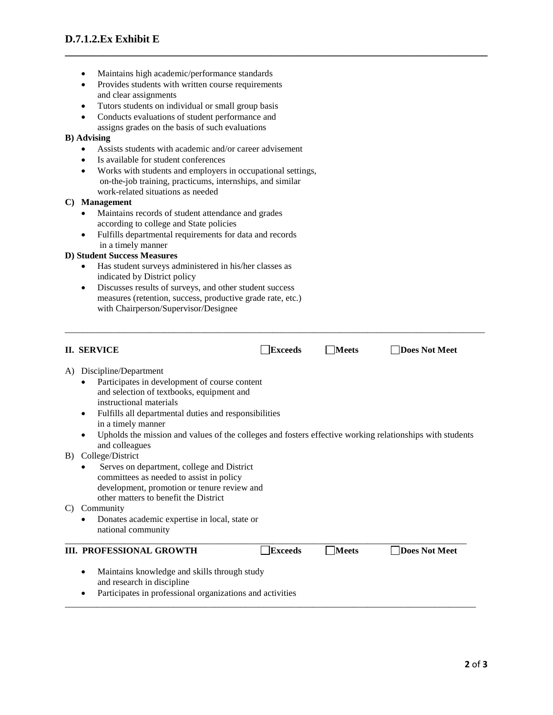- Maintains high academic/performance standards
- Provides students with written course requirements and clear assignments
- Tutors students on individual or small group basis
- Conducts evaluations of student performance and assigns grades on the basis of such evaluations

### **B) Advising**

- Assists students with academic and/or career advisement
- Is available for student conferences
- Works with students and employers in occupational settings, on-the-job training, practicums, internships, and similar work-related situations as needed

### **C) Management**

- Maintains records of student attendance and grades according to college and State policies
- Fulfills departmental requirements for data and records in a timely manner

## **D) Student Success Measures**

- Has student surveys administered in his/her classes as indicated by District policy
- Discusses results of surveys, and other student success measures (retention, success, productive grade rate, etc.) with Chairperson/Supervisor/Designee

| <b>II. SERVICE</b>                                                                                                                                                                                                                                                                                                                                           | <b>Exceeds</b> | <b>Meets</b> | <b>Does Not Meet</b> |
|--------------------------------------------------------------------------------------------------------------------------------------------------------------------------------------------------------------------------------------------------------------------------------------------------------------------------------------------------------------|----------------|--------------|----------------------|
| Discipline/Department<br>A)<br>Participates in development of course content<br>and selection of textbooks, equipment and<br>instructional materials<br>Fulfills all departmental duties and responsibilities<br>$\bullet$<br>in a timely manner<br>Upholds the mission and values of the colleges and fosters effective working relationships with students |                |              |                      |
| and colleagues<br>College/District<br>B)<br>Serves on department, college and District<br>٠<br>committees as needed to assist in policy<br>development, promotion or tenure review and<br>other matters to benefit the District<br>Community<br>C)                                                                                                           |                |              |                      |
| Donates academic expertise in local, state or<br>national community                                                                                                                                                                                                                                                                                          |                |              |                      |
| <b>III. PROFESSIONAL GROWTH</b>                                                                                                                                                                                                                                                                                                                              | <b>Exceeds</b> | <b>Meets</b> | Does Not Meet        |
| Maintains knowledge and skills through study<br>$\bullet$<br>and research in discipline<br>Participates in professional organizations and activities<br>٠                                                                                                                                                                                                    |                |              |                      |

\_\_\_\_\_\_\_\_\_\_\_\_\_\_\_\_\_\_\_\_\_\_\_\_\_\_\_\_\_\_\_\_\_\_\_\_\_\_\_\_\_\_\_\_\_\_\_\_\_\_\_\_\_\_\_\_\_\_\_\_\_\_\_\_\_\_\_\_\_\_\_\_\_\_\_\_\_\_\_\_\_\_\_\_\_\_\_\_\_\_\_\_\_

**\_\_\_\_\_\_\_\_\_\_\_\_\_\_\_\_\_\_\_\_\_\_\_\_\_\_\_\_\_\_\_\_\_\_\_\_\_\_\_\_\_\_\_\_\_\_\_\_\_\_\_\_\_\_\_\_\_\_\_\_\_\_\_\_\_\_\_\_\_\_\_\_\_\_\_\_\_\_**